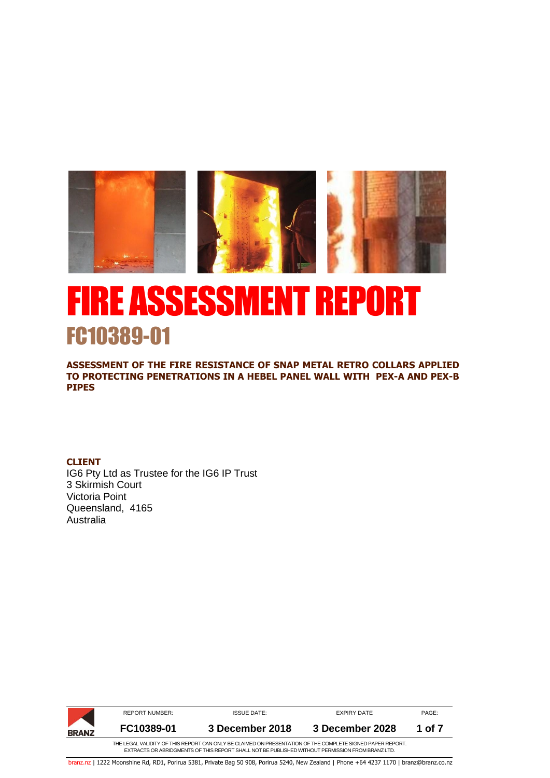

# FIRE ASSESSMENT REPORT FC10389-01

**ASSESSMENT OF THE FIRE RESISTANCE OF SNAP METAL RETRO COLLARS APPLIED TO PROTECTING PENETRATIONS IN A HEBEL PANEL WALL WITH PEX-A AND PEX-B PIPES**

**CLIENT**

IG6 Pty Ltd as Trustee for the IG6 IP Trust 3 Skirmish Court Victoria Point Queensland, 4165 Australia

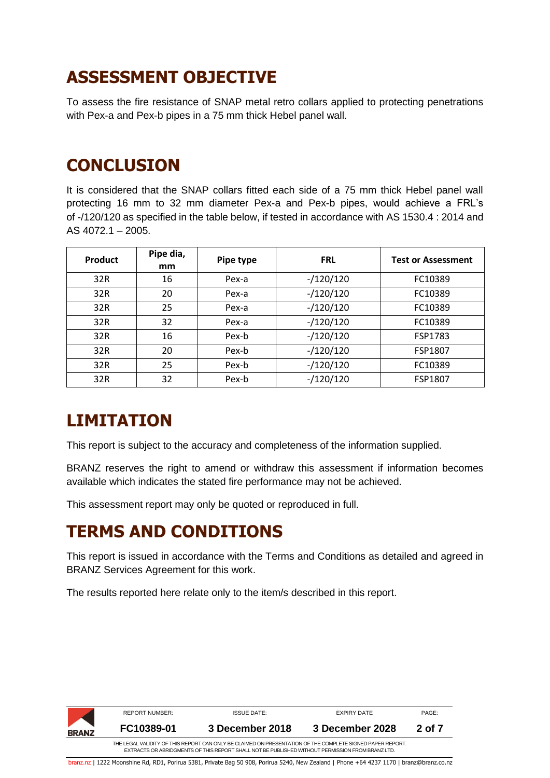## **ASSESSMENT OBJECTIVE**

To assess the fire resistance of SNAP metal retro collars applied to protecting penetrations with Pex-a and Pex-b pipes in a 75 mm thick Hebel panel wall.

## **CONCLUSION**

It is considered that the SNAP collars fitted each side of a 75 mm thick Hebel panel wall protecting 16 mm to 32 mm diameter Pex-a and Pex-b pipes, would achieve a FRL's of -/120/120 as specified in the table below, if tested in accordance with AS 1530.4 : 2014 and AS 4072.1 – 2005.

| Product | Pipe dia,<br>mm | Pipe type | <b>FRL</b>  | <b>Test or Assessment</b> |
|---------|-----------------|-----------|-------------|---------------------------|
| 32R     | 16              | Pex-a     | $-120/120$  | FC10389                   |
| 32R     | 20              | Pex-a     | $-/120/120$ | FC10389                   |
| 32R     | 25              | Pex-a     | $-/120/120$ | FC10389                   |
| 32R     | 32              | Pex-a     | $-120/120$  | FC10389                   |
| 32R     | 16              | Pex-b     | $-/120/120$ | FSP1783                   |
| 32R     | 20              | Pex-b     | $-/120/120$ | FSP1807                   |
| 32R     | 25              | Pex-b     | $-/120/120$ | FC10389                   |
| 32R     | 32              | Pex-b     | $-/120/120$ | <b>FSP1807</b>            |

#### **LIMITATION**

This report is subject to the accuracy and completeness of the information supplied.

BRANZ reserves the right to amend or withdraw this assessment if information becomes available which indicates the stated fire performance may not be achieved.

This assessment report may only be quoted or reproduced in full.

## **TERMS AND CONDITIONS**

This report is issued in accordance with the Terms and Conditions as detailed and agreed in BRANZ Services Agreement for this work.

The results reported here relate only to the item/s described in this report.

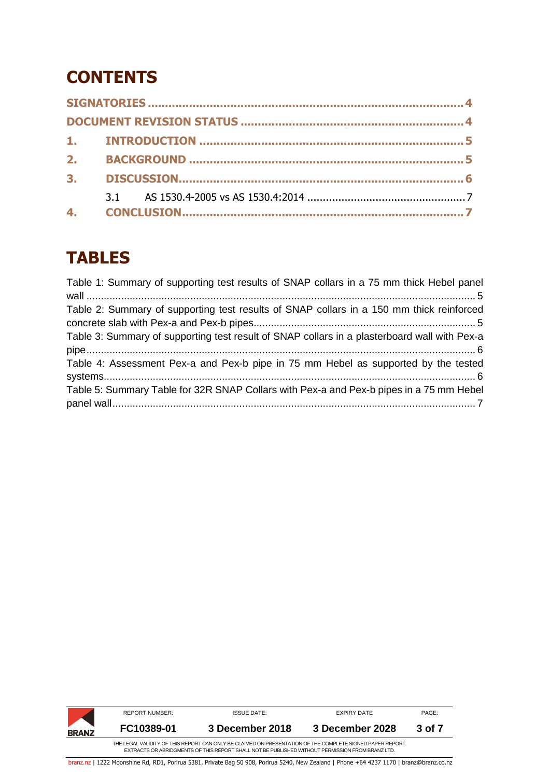# **CONTENTS**

| 2.             |  |
|----------------|--|
| 3 <sub>1</sub> |  |
|                |  |
| 4.             |  |

## **TABLES**

| Table 1: Summary of supporting test results of SNAP collars in a 75 mm thick Hebel panel     |
|----------------------------------------------------------------------------------------------|
| Table 2: Summary of supporting test results of SNAP collars in a 150 mm thick reinforced     |
| Table 3: Summary of supporting test result of SNAP collars in a plasterboard wall with Pex-a |
| Table 4: Assessment Pex-a and Pex-b pipe in 75 mm Hebel as supported by the tested           |
| Table 5: Summary Table for 32R SNAP Collars with Pex-a and Pex-b pipes in a 75 mm Hebel      |

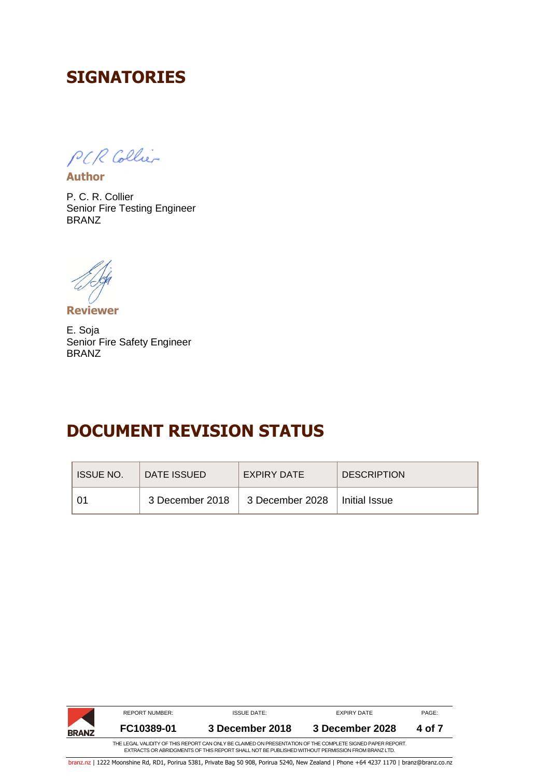#### <span id="page-3-0"></span>**SIGNATORIES**

PCR Collier

**Author**

P. C. R. Collier Senior Fire Testing Engineer BRANZ

**Reviewer**

<span id="page-3-1"></span>E. Soja Senior Fire Safety Engineer BRANZ

#### **DOCUMENT REVISION STATUS**

| <b>ISSUE NO.</b> | DATE ISSUED     | EXPIRY DATE                       | <b>DESCRIPTION</b> |
|------------------|-----------------|-----------------------------------|--------------------|
|                  | 3 December 2018 | □ 3 December 2028   Initial Issue |                    |

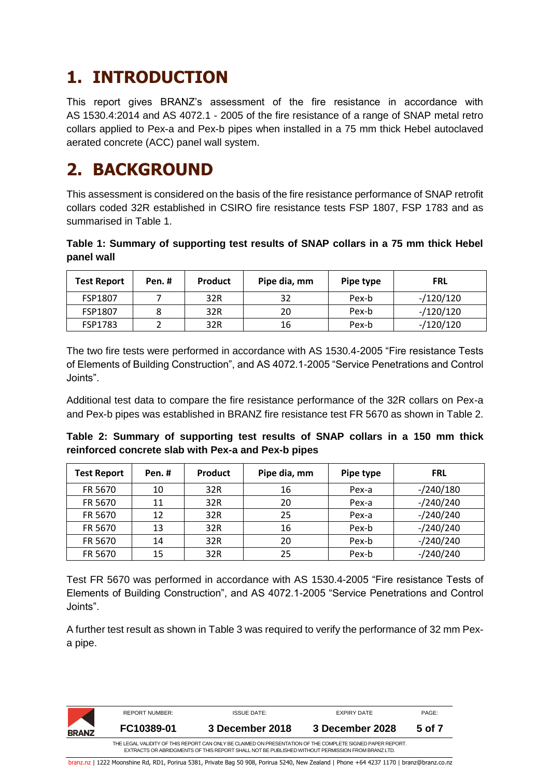## <span id="page-4-0"></span>**1. INTRODUCTION**

This report gives BRANZ's assessment of the fire resistance in accordance with AS 1530.4:2014 and AS 4072.1 - 2005 of the fire resistance of a range of SNAP metal retro collars applied to Pex-a and Pex-b pipes when installed in a 75 mm thick Hebel autoclaved aerated concrete (ACC) panel wall system.

## <span id="page-4-1"></span>**2. BACKGROUND**

This assessment is considered on the basis of the fire resistance performance of SNAP retrofit collars coded 32R established in CSIRO fire resistance tests FSP 1807, FSP 1783 and as summarised in [Table 1.](#page-4-2)

<span id="page-4-2"></span>**Table 1: Summary of supporting test results of SNAP collars in a 75 mm thick Hebel panel wall**

| <b>Test Report</b> | Pen.# | <b>Product</b> | Pipe dia, mm | Pipe type | <b>FRL</b>  |
|--------------------|-------|----------------|--------------|-----------|-------------|
| <b>FSP1807</b>     |       | 32R            | 32           | Pex-b     | $-120/120$  |
| <b>FSP1807</b>     | 8     | 32R            | 20           | Pex-b     | $-120/120$  |
| <b>FSP1783</b>     |       | 32R            | 16           | Pex-b     | $-/120/120$ |

The two fire tests were performed in accordance with AS 1530.4-2005 "Fire resistance Tests of Elements of Building Construction", and AS 4072.1-2005 "Service Penetrations and Control Joints".

Additional test data to compare the fire resistance performance of the 32R collars on Pex-a and Pex-b pipes was established in BRANZ fire resistance test FR 5670 as shown in [Table 2.](#page-4-3)

<span id="page-4-3"></span>

|  |  | Table 2: Summary of supporting test results of SNAP collars in a 150 mm thick |  |  |  |  |  |
|--|--|-------------------------------------------------------------------------------|--|--|--|--|--|
|  |  | reinforced concrete slab with Pex-a and Pex-b pipes                           |  |  |  |  |  |

| Test Report | Pen.# | Product | Pipe dia, mm | Pipe type | <b>FRL</b>   |
|-------------|-------|---------|--------------|-----------|--------------|
| FR 5670     | 10    | 32R     | 16           | Pex-a     | $-$ /240/180 |
| FR 5670     | 11    | 32R     | 20           | Pex-a     | $-240/240$   |
| FR 5670     | 12    | 32R     | 25           | Pex-a     | $-240/240$   |
| FR 5670     | 13    | 32R     | 16           | Pex-b     | $-240/240$   |
| FR 5670     | 14    | 32R     | 20           | Pex-b     | $-240/240$   |
| FR 5670     | 15    | 32R     | 25           | Pex-b     | $-240/240$   |

Test FR 5670 was performed in accordance with AS 1530.4-2005 "Fire resistance Tests of Elements of Building Construction", and AS 4072.1-2005 "Service Penetrations and Control Joints".

A further test result as shown in [Table 3](#page-5-1) was required to verify the performance of 32 mm Pexa pipe.

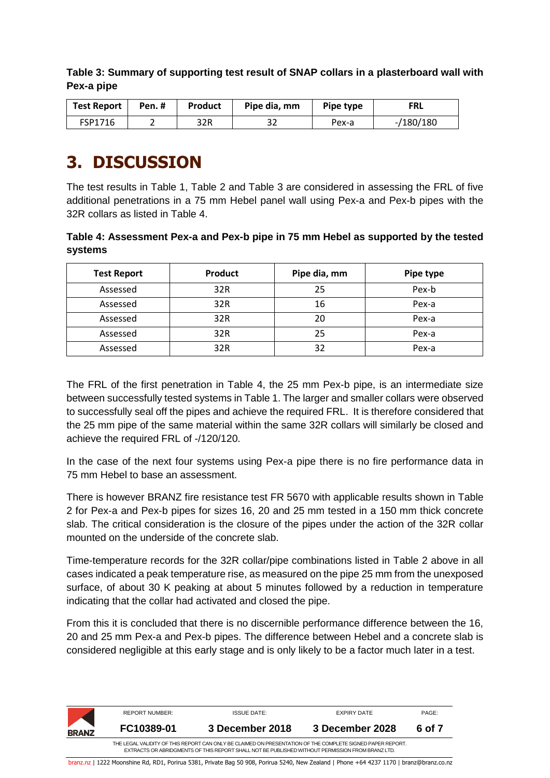<span id="page-5-1"></span>**Table 3: Summary of supporting test result of SNAP collars in a plasterboard wall with Pex-a pipe**

| <b>Test Report</b> | Pen. # | <b>Product</b> | Pipe dia, mm | Pipe type | <b>FRL</b> |
|--------------------|--------|----------------|--------------|-----------|------------|
| FSP1716            |        | 32R            |              | Pex-a     | $-180/180$ |

## <span id="page-5-0"></span>**3. DISCUSSION**

The test results in [Table 1,](#page-4-2) [Table 2](#page-4-3) and [Table 3](#page-5-1) are considered in assessing the FRL of five additional penetrations in a 75 mm Hebel panel wall using Pex-a and Pex-b pipes with the 32R collars as listed in [Table 4.](#page-5-2)

<span id="page-5-2"></span>

| Table 4: Assessment Pex-a and Pex-b pipe in 75 mm Hebel as supported by the tested |  |  |
|------------------------------------------------------------------------------------|--|--|
| systems                                                                            |  |  |

| <b>Test Report</b> | Product | Pipe dia, mm | Pipe type |
|--------------------|---------|--------------|-----------|
| Assessed           | 32R     | 25           | Pex-b     |
| Assessed           | 32R     | 16           | Pex-a     |
| Assessed           | 32R     | 20           | Pex-a     |
| Assessed           | 32R     | 25           | Pex-a     |
| Assessed           | 32R     | 32           | Pex-a     |

The FRL of the first penetration in [Table 4,](#page-5-2) the 25 mm Pex-b pipe, is an intermediate size between successfully tested systems i[n Table 1.](#page-4-2) The larger and smaller collars were observed to successfully seal off the pipes and achieve the required FRL. It is therefore considered that the 25 mm pipe of the same material within the same 32R collars will similarly be closed and achieve the required FRL of -/120/120.

In the case of the next four systems using Pex-a pipe there is no fire performance data in 75 mm Hebel to base an assessment.

There is however BRANZ fire resistance test FR 5670 with applicable results shown in [Table](#page-4-3)  [2](#page-4-3) for Pex-a and Pex-b pipes for sizes 16, 20 and 25 mm tested in a 150 mm thick concrete slab. The critical consideration is the closure of the pipes under the action of the 32R collar mounted on the underside of the concrete slab.

Time-temperature records for the 32R collar/pipe combinations listed in [Table 2](#page-4-3) above in all cases indicated a peak temperature rise, as measured on the pipe 25 mm from the unexposed surface, of about 30 K peaking at about 5 minutes followed by a reduction in temperature indicating that the collar had activated and closed the pipe.

From this it is concluded that there is no discernible performance difference between the 16, 20 and 25 mm Pex-a and Pex-b pipes. The difference between Hebel and a concrete slab is considered negligible at this early stage and is only likely to be a factor much later in a test.

|              | REPORT NUMBER:                                                                                                                                                                                                 | <b>ISSUE DATE:</b> | EXPIRY DATE     | PAGE:  |  |  |  |
|--------------|----------------------------------------------------------------------------------------------------------------------------------------------------------------------------------------------------------------|--------------------|-----------------|--------|--|--|--|
| <b>BRANZ</b> | FC10389-01                                                                                                                                                                                                     | 3 December 2018    | 3 December 2028 | 6 of 7 |  |  |  |
|              | THE LEGAL VALIDITY OF THIS REPORT CAN ONLY BE CLAIMED ON PRESENTATION OF THE COMPLETE SIGNED PAPER REPORT.<br>EXTRACTS OR ABRIDGMENTS OF THIS REPORT SHALL NOT BE PUBLISHED WITHOUT PERMISSION FROM BRANZ LTD. |                    |                 |        |  |  |  |